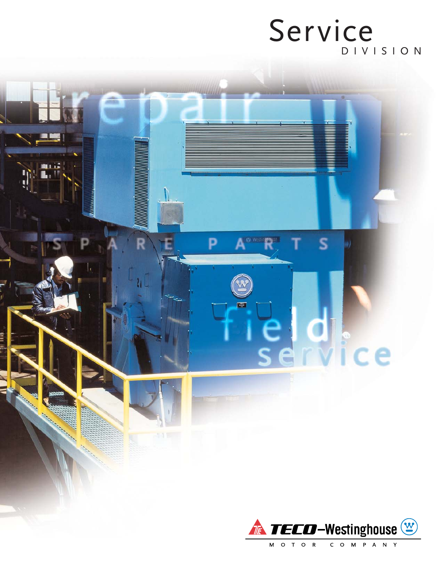## DIVISION Service

S

ce

**Ex Westinghnuse** 

曙

Þ

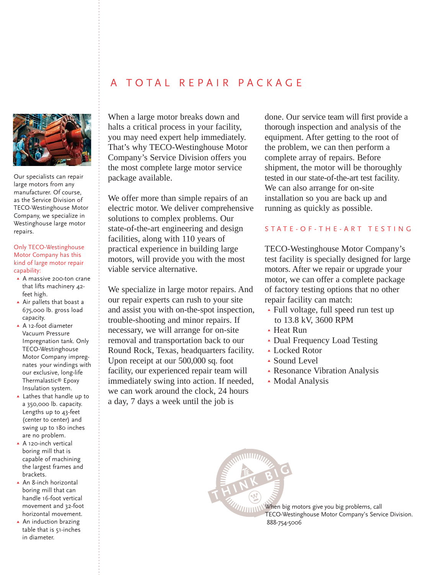## A TOTAL REPAIR PACKAGE



Our specialists can repair large motors from any manufacturer. Of course, as the Service Division of TECO-Westinghouse Motor Company, we specialize in Westinghouse large motor repairs.

#### Only TECO-Westinghouse Motor Company has this kind of large motor repair capability:

- ▲ A massive 200-ton crane that lifts machinery 42 feet high.
- Air pallets that boast a 675,000 lb. gross load capacity.
- A 12-foot diameter Vacuum Pressure Impregnation tank. Only TECO-Westinghouse Motor Company impregnates your windings with our exclusive, long-life Thermalastic® Epoxy Insulation system.
- Lathes that handle up to a 350,000 lb. capacity. Lengths up to 43-feet (center to center) and swing up to 180 inches are no problem.
- ▲ A 120-inch vertical boring mill that is capable of machining the largest frames and brackets.
- ▲ An 8-inch horizontal boring mill that can handle 16-foot vertical movement and 32-foot horizontal movement.
- ▲ An induction brazing table that is 51-inches in diameter.

When a large motor breaks down and halts a critical process in your facility, you may need expert help immediately. That's why TECO-Westinghouse Motor Company's Service Division offers you the most complete large motor service package available.

We offer more than simple repairs of an electric motor. We deliver comprehensive solutions to complex problems. Our state-of-the-art engineering and design facilities, along with 110 years of practical experience in building large motors, will provide you with the most viable service alternative.

We specialize in large motor repairs. And our repair experts can rush to your site and assist you with on-the-spot inspection, trouble-shooting and minor repairs. If necessary, we will arrange for on-site removal and transportation back to our Round Rock, Texas, headquarters facility. Upon receipt at our 500,000 sq. foot facility, our experienced repair team will immediately swing into action. If needed, we can work around the clock, 24 hours a day, 7 days a week until the job is

done. Our service team will first provide a thorough inspection and analysis of the equipment. After getting to the root of the problem, we can then perform a complete array of repairs. Before shipment, the motor will be thoroughly tested in our state-of-the-art test facility. We can also arrange for on-site installation so you are back up and running as quickly as possible.

#### STATE-OF-THE-ART TESTING

TECO-Westinghouse Motor Company's test facility is specially designed for large motors. After we repair or upgrade your motor, we can offer a complete package of factory testing options that no other repair facility can match:

- Full voltage, full speed run test up to 13.8 kV, 3600 RPM
- Heat Run
- Dual Frequency Load Testing
- Locked Rotor
- Sound Level
- Resonance Vibration Analysis
- Modal Analysis

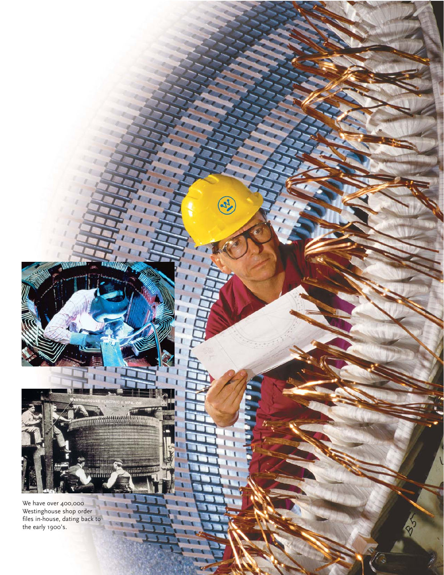We have over 400,000 Westinghouse shop order files in-house, dating back to the early 1900's.

**THURSDAY** 

**Thursday** 

m

 $\mathbf{r}$ 

 $\frac{1}{3}$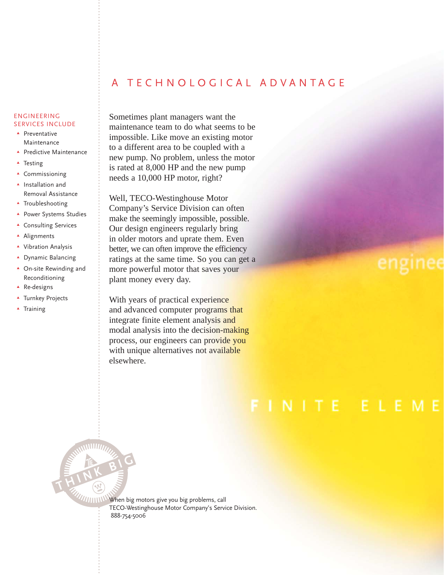## A TECHNOLOGICAL ADVANTAGE

#### ENGINEERING SERVICES INCLUDE

- **A** Preventative **Maintenance**
- **A** Predictive Maintenance
- **A** Testing
- **A** Commissioning
- **A** Installation and Removal Assistance
- **A** Troubleshooting
- **A** Power Systems Studies
- **A** Consulting Services
- **Alignments**
- Vibration Analysis
- **A** Dynamic Balancing
- **A** On-site Rewinding and Reconditioning

**THINK BIG** 

- ▲ Re-designs
- **A** Turnkey Projects
- **A** Training

Sometimes plant managers want the maintenance team to do what seems to be impossible. Like move an existing motor to a different area to be coupled with a new pump. No problem, unless the motor is rated at 8,000 HP and the new pump needs a 10,000 HP motor, right?

Well, TECO-Westinghouse Motor Company's Service Division can often make the seemingly impossible, possible. Our design engineers regularly bring in older motors and uprate them. Even better, we can often improve the efficiency ratings at the same time. So you can get a more powerful motor that saves your plant money every day.

With years of practical experience and advanced computer programs that integrate finite element analysis and modal analysis into the decision-making process, our engineers can provide you with unique alternatives not available elsewhere.

## enginee

## FINITE ELEME

**WHITHAN When big motors give you big problems, call** TECO-Westinghouse Motor Company's Service Division. 888-754-5006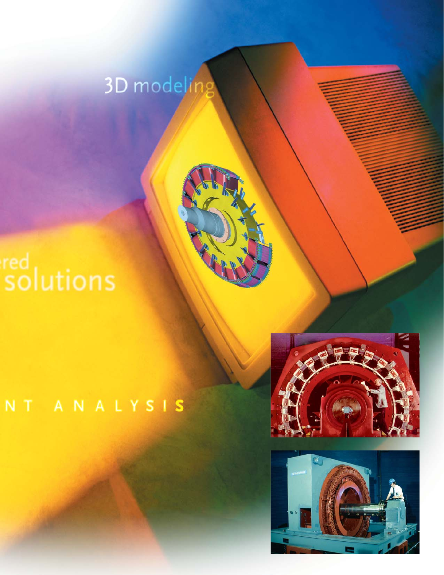## 3D modeling

# red<br>solutions

## NT ANALYSIS



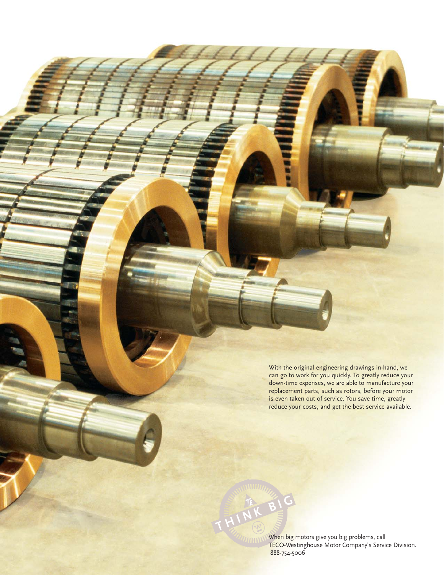With the original engineering drawings in-hand, we can go to work for you quickly. To greatly reduce your down-time expenses, we are able to manufacture your replacement parts, such as rotors, before your motor is even taken out of service. You save time, greatly reduce your costs, and get the best service available.

When big motors give you big problems, call TECO-Westinghouse Motor Company's Service Division. 888-754-5006

**THINK BIG**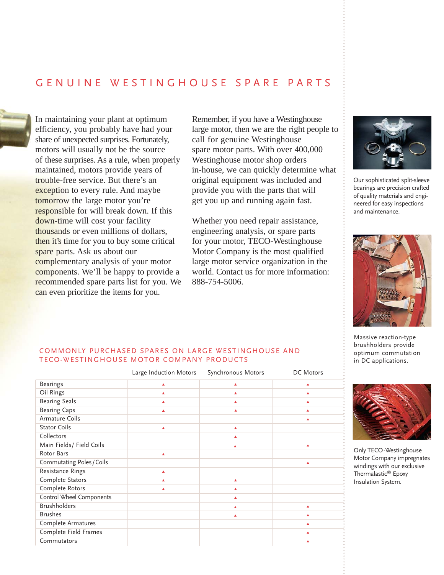### GENUINE WESTINGHOUSE SPARE PARTS



In maintaining your plant at optimum efficiency, you probably have had your share of unexpected surprises. Fortunately, motors will usually not be the source of these surprises. As a rule, when properly maintained, motors provide years of trouble-free service. But there's an exception to every rule. And maybe tomorrow the large motor you're responsible for will break down. If this down-time will cost your facility thousands or even millions of dollars, then it's time for you to buy some critical spare parts. Ask us about our complementary analysis of your motor components. We'll be happy to provide a recommended spare parts list for you. We can even prioritize the items for you.

Remember, if you have a Westinghouse large motor, then we are the right people to call for genuine Westinghouse spare motor parts. With over 400,000 Westinghouse motor shop orders in-house, we can quickly determine what original equipment was included and provide you with the parts that will get you up and running again fast.

Whether you need repair assistance, engineering analysis, or spare parts for your motor, TECO-Westinghouse Motor Company is the most qualified large motor service organization in the world. Contact us for more information: 888-754-5006.



Our sophisticated split-sleeve bearings are precision crafted of quality materials and engineered for easy inspections and maintenance.



Massive reaction-type brushholders provide optimum commutation in DC applications.



Only TECO-Westinghouse Motor Company impregnates windings with our exclusive Thermalastic® Epoxy Insulation System.

#### COMMONLY PURCHASED SPARES ON LARGE WESTINGHOUSE AND TECO-WESTINGHOUSE MOTOR COMPANY PRODUCTS

|                           | Large Induction Motors | Synchronous Motors | DC Motors |
|---------------------------|------------------------|--------------------|-----------|
| <b>Bearings</b>           | ▲                      | ٨                  | ▲         |
| Oil Rings                 | ▲                      | ٨                  |           |
| <b>Bearing Seals</b>      | ▲                      |                    |           |
| <b>Bearing Caps</b>       | ٨                      |                    |           |
| Armature Coils            |                        |                    |           |
| <b>Stator Coils</b>       | ▲                      | ▲                  |           |
| Collectors                |                        | ٨                  |           |
| Main Fields / Field Coils |                        | Δ                  | ٨         |
| Rotor Bars                | ▲                      |                    |           |
| Commutating Poles / Coils |                        |                    |           |
| Resistance Rings          | ▲                      |                    |           |
| Complete Stators          | A                      | ▲                  |           |
| Complete Rotors           | ▲                      | ▲                  |           |
| Control Wheel Components  |                        | ▲                  |           |
| <b>Brushholders</b>       |                        |                    |           |
| <b>Brushes</b>            |                        |                    |           |
| Complete Armatures        |                        |                    |           |
| Complete Field Frames     |                        |                    |           |
| Commutators               |                        |                    |           |